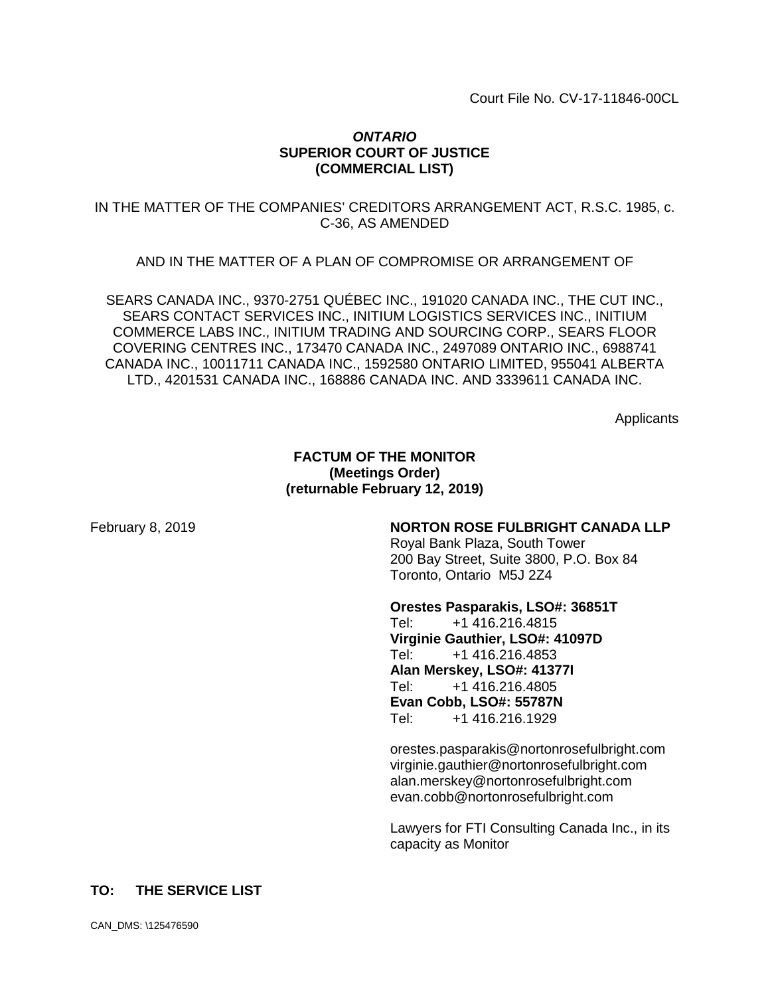Court File No. CV-17-11846-00CL

# *ONTARIO* **SUPERIOR COURT OF JUSTICE (COMMERCIAL LIST)**

IN THE MATTER OF THE COMPANIES' CREDITORS ARRANGEMENT ACT, R.S.C. 1985, c. C-36, AS AMENDED

AND IN THE MATTER OF A PLAN OF COMPROMISE OR ARRANGEMENT OF

SEARS CANADA INC., 9370-2751 QUÉBEC INC., 191020 CANADA INC., THE CUT INC., SEARS CONTACT SERVICES INC., INITIUM LOGISTICS SERVICES INC., INITIUM COMMERCE LABS INC., INITIUM TRADING AND SOURCING CORP., SEARS FLOOR COVERING CENTRES INC., 173470 CANADA INC., 2497089 ONTARIO INC., 6988741 CANADA INC., 10011711 CANADA INC., 1592580 ONTARIO LIMITED, 955041 ALBERTA LTD., 4201531 CANADA INC., 168886 CANADA INC. AND 3339611 CANADA INC.

**Applicants** 

### **FACTUM OF THE MONITOR (Meetings Order) (returnable February 12, 2019)**

### February 8, 2019 **NORTON ROSE FULBRIGHT CANADA LLP**

Royal Bank Plaza, South Tower 200 Bay Street, Suite 3800, P.O. Box 84 Toronto, Ontario M5J 2Z4

**Orestes Pasparakis, LSO#: 36851T**<br>Tel: +1 416.216.4815 Tel: +1 416.216.4815 **Virginie Gauthier, LSO#: 41097D** Tel: +1 416.216.4853 **Alan Merskey, LSO#: 41377I** Tel: +1 416.216.4805 **Evan Cobb, LSO#: 55787N** Tel: +1 416.216.1929

orestes.pasparakis@nortonrosefulbright.com virginie.gauthier@nortonrosefulbright.com alan.merskey@nortonrosefulbright.com evan.cobb@nortonrosefulbright.com

Lawyers for FTI Consulting Canada Inc., in its capacity as Monitor

### **TO: THE SERVICE LIST**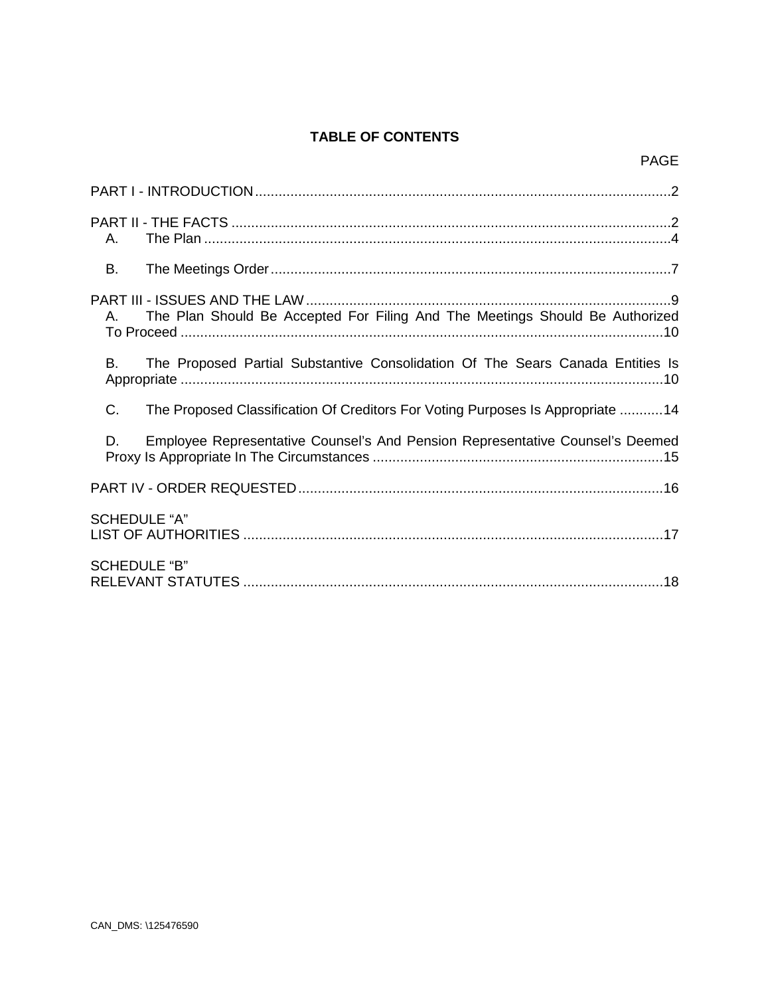# **TABLE OF CONTENTS**

| А.                                                                                   |
|--------------------------------------------------------------------------------------|
| B.                                                                                   |
| The Plan Should Be Accepted For Filing And The Meetings Should Be Authorized<br>A.   |
| The Proposed Partial Substantive Consolidation Of The Sears Canada Entities Is<br>В. |
| C.<br>The Proposed Classification Of Creditors For Voting Purposes Is Appropriate 14 |
| Employee Representative Counsel's And Pension Representative Counsel's Deemed<br>D.  |
|                                                                                      |
| <b>SCHEDULE "A"</b>                                                                  |
| <b>SCHEDULE "B"</b>                                                                  |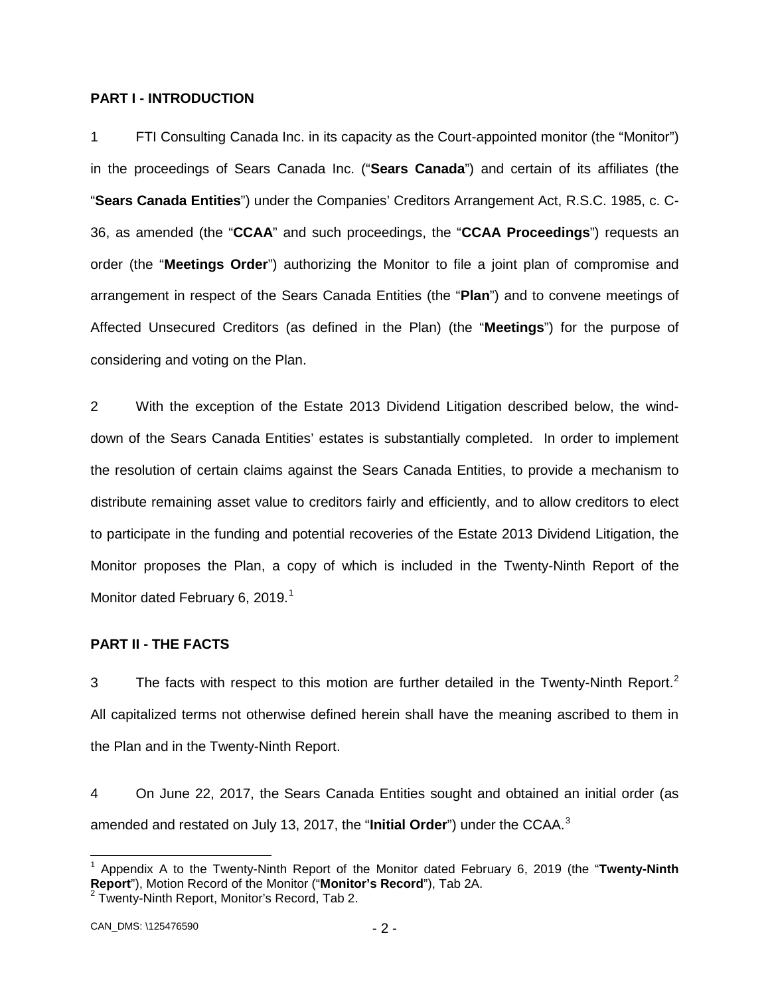### <span id="page-2-0"></span>**PART I - INTRODUCTION**

1 FTI Consulting Canada Inc. in its capacity as the Court-appointed monitor (the "Monitor") in the proceedings of Sears Canada Inc. ("**Sears Canada**") and certain of its affiliates (the "**Sears Canada Entities**") under the Companies' Creditors Arrangement Act, R.S.C. 1985, c. C-36, as amended (the "**CCAA**" and such proceedings, the "**CCAA Proceedings**") requests an order (the "**Meetings Order**") authorizing the Monitor to file a joint plan of compromise and arrangement in respect of the Sears Canada Entities (the "**Plan**") and to convene meetings of Affected Unsecured Creditors (as defined in the Plan) (the "**Meetings**") for the purpose of considering and voting on the Plan.

2 With the exception of the Estate 2013 Dividend Litigation described below, the winddown of the Sears Canada Entities' estates is substantially completed. In order to implement the resolution of certain claims against the Sears Canada Entities, to provide a mechanism to distribute remaining asset value to creditors fairly and efficiently, and to allow creditors to elect to participate in the funding and potential recoveries of the Estate 2013 Dividend Litigation, the Monitor proposes the Plan, a copy of which is included in the Twenty-Ninth Report of the Monitor dated February 6, 20[1](#page-2-2)9.<sup>1</sup>

## <span id="page-2-1"></span>**PART II - THE FACTS**

3 The facts with respect to this motion are further detailed in the Twenty-Ninth Report.<sup>[2](#page-2-3)</sup> All capitalized terms not otherwise defined herein shall have the meaning ascribed to them in the Plan and in the Twenty-Ninth Report.

4 On June 22, 2017, the Sears Canada Entities sought and obtained an initial order (as amended and restated on July 13, 2017, the "**Initial Order**") under the CCAA.[3](#page-2-4)

<span id="page-2-4"></span><span id="page-2-2"></span> <sup>1</sup> Appendix A to the Twenty-Ninth Report of the Monitor dated February 6, 2019 (the "**Twenty-Ninth Report**"), Motion Record of the Monitor ("**Monitor's Record**"), Tab 2A. <sup>2</sup> Twenty-Ninth Report, Monitor's Record, Tab 2.

<span id="page-2-3"></span>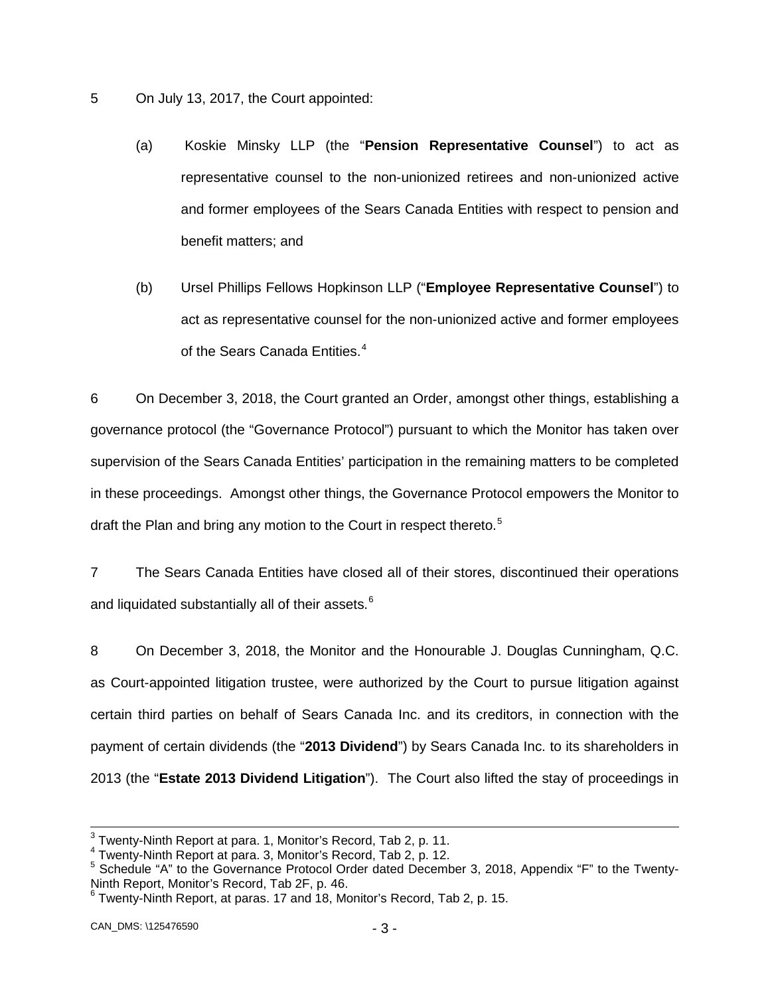- 5 On July 13, 2017, the Court appointed:
	- (a) Koskie Minsky LLP (the "**Pension Representative Counsel**") to act as representative counsel to the non-unionized retirees and non-unionized active and former employees of the Sears Canada Entities with respect to pension and benefit matters; and
	- (b) Ursel Phillips Fellows Hopkinson LLP ("**Employee Representative Counsel**") to act as representative counsel for the non-unionized active and former employees of the Sears Canada Entities.<sup>[4](#page-3-0)</sup>

6 On December 3, 2018, the Court granted an Order, amongst other things, establishing a governance protocol (the "Governance Protocol") pursuant to which the Monitor has taken over supervision of the Sears Canada Entities' participation in the remaining matters to be completed in these proceedings. Amongst other things, the Governance Protocol empowers the Monitor to draft the Plan and bring any motion to the Court in respect thereto.<sup>[5](#page-3-1)</sup>

7 The Sears Canada Entities have closed all of their stores, discontinued their operations and liquidated substantially all of their assets.<sup>[6](#page-3-2)</sup>

8 On December 3, 2018, the Monitor and the Honourable J. Douglas Cunningham, Q.C. as Court-appointed litigation trustee, were authorized by the Court to pursue litigation against certain third parties on behalf of Sears Canada Inc. and its creditors, in connection with the payment of certain dividends (the "**2013 Dividend**") by Sears Canada Inc. to its shareholders in 2013 (the "**Estate 2013 Dividend Litigation**"). The Court also lifted the stay of proceedings in

<span id="page-3-1"></span><span id="page-3-0"></span>

<sup>&</sup>lt;sup>3</sup> Twenty-Ninth Report at para. 1, Monitor's Record, Tab 2, p. 11.<br>
<sup>4</sup> Twenty-Ninth Report at para. 3, Monitor's Record, Tab 2, p. 12.<br>
<sup>5</sup> Schedule "A" to the Governance Protocol Order dated December 3, 2018, Appendix

<span id="page-3-2"></span> $6$  Twenty-Ninth Report, at paras. 17 and 18, Monitor's Record, Tab 2, p. 15.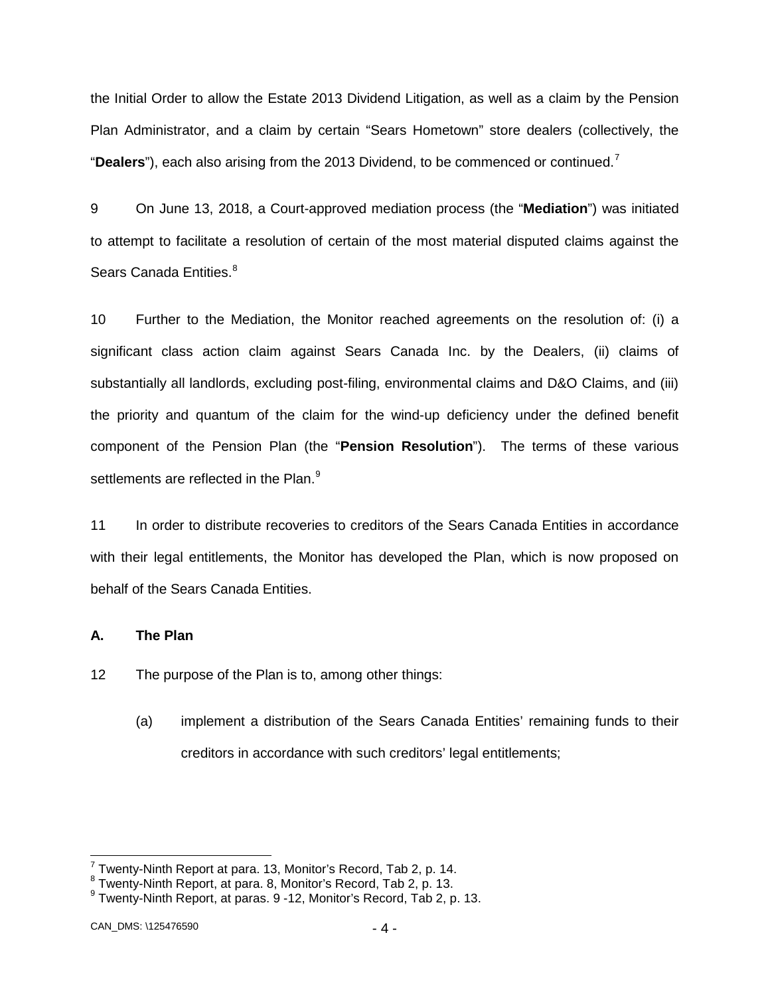the Initial Order to allow the Estate 2013 Dividend Litigation, as well as a claim by the Pension Plan Administrator, and a claim by certain "Sears Hometown" store dealers (collectively, the "**Dealers**"), each also arising from the 2013 Dividend, to be commenced or continued.[7](#page-4-1)

9 On June 13, 2018, a Court-approved mediation process (the "**Mediation**") was initiated to attempt to facilitate a resolution of certain of the most material disputed claims against the Sears Canada Entities.<sup>[8](#page-4-2)</sup>

10 Further to the Mediation, the Monitor reached agreements on the resolution of: (i) a significant class action claim against Sears Canada Inc. by the Dealers, (ii) claims of substantially all landlords, excluding post-filing, environmental claims and D&O Claims, and (iii) the priority and quantum of the claim for the wind-up deficiency under the defined benefit component of the Pension Plan (the "**Pension Resolution**"). The terms of these various settlements are reflected in the Plan.<sup>[9](#page-4-3)</sup>

11 In order to distribute recoveries to creditors of the Sears Canada Entities in accordance with their legal entitlements, the Monitor has developed the Plan, which is now proposed on behalf of the Sears Canada Entities.

### <span id="page-4-0"></span>**A. The Plan**

12 The purpose of the Plan is to, among other things:

(a) implement a distribution of the Sears Canada Entities' remaining funds to their creditors in accordance with such creditors' legal entitlements;

<span id="page-4-3"></span>

<span id="page-4-2"></span><span id="page-4-1"></span><sup>&</sup>lt;sup>7</sup> Twenty-Ninth Report at para. 13, Monitor's Record, Tab 2, p. 14.<br><sup>8</sup> Twenty-Ninth Report, at para. 8, Monitor's Record, Tab 2, p. 13.<br><sup>9</sup> Twenty-Ninth Report, at paras. 9 -12, Monitor's Record, Tab 2, p. 13.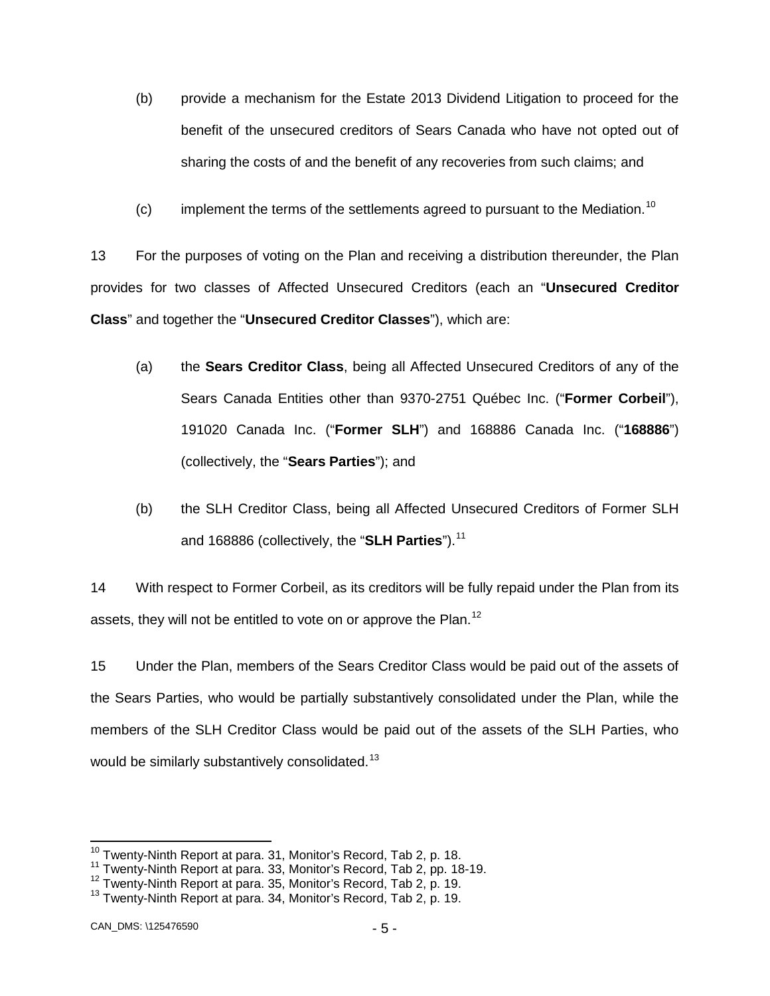- (b) provide a mechanism for the Estate 2013 Dividend Litigation to proceed for the benefit of the unsecured creditors of Sears Canada who have not opted out of sharing the costs of and the benefit of any recoveries from such claims; and
- (c) implement the terms of the settlements agreed to pursuant to the Mediation.<sup>[10](#page-5-0)</sup>

13 For the purposes of voting on the Plan and receiving a distribution thereunder, the Plan provides for two classes of Affected Unsecured Creditors (each an "**Unsecured Creditor Class**" and together the "**Unsecured Creditor Classes**"), which are:

- (a) the **Sears Creditor Class**, being all Affected Unsecured Creditors of any of the Sears Canada Entities other than 9370-2751 Québec Inc. ("**Former Corbeil**"), 191020 Canada Inc. ("**Former SLH**") and 168886 Canada Inc. ("**168886**") (collectively, the "**Sears Parties**"); and
- (b) the SLH Creditor Class, being all Affected Unsecured Creditors of Former SLH and 168886 (collectively, the "**SLH Parties**").<sup>[11](#page-5-1)</sup>

14 With respect to Former Corbeil, as its creditors will be fully repaid under the Plan from its assets, they will not be entitled to vote on or approve the Plan.<sup>[12](#page-5-2)</sup>

15 Under the Plan, members of the Sears Creditor Class would be paid out of the assets of the Sears Parties, who would be partially substantively consolidated under the Plan, while the members of the SLH Creditor Class would be paid out of the assets of the SLH Parties, who would be similarly substantively consolidated.<sup>[13](#page-5-3)</sup>

<span id="page-5-0"></span><sup>&</sup>lt;sup>10</sup> Twenty-Ninth Report at para. 31, Monitor's Record, Tab 2, p. 18.<br><sup>11</sup> Twenty-Ninth Report at para. 33, Monitor's Record, Tab 2, pp. 18-19.

<span id="page-5-2"></span><span id="page-5-1"></span> $12$  Twenty-Ninth Report at para. 35, Monitor's Record, Tab 2, p. 19.  $13$  Twenty-Ninth Report at para. 34, Monitor's Record, Tab 2, p. 19.

<span id="page-5-3"></span>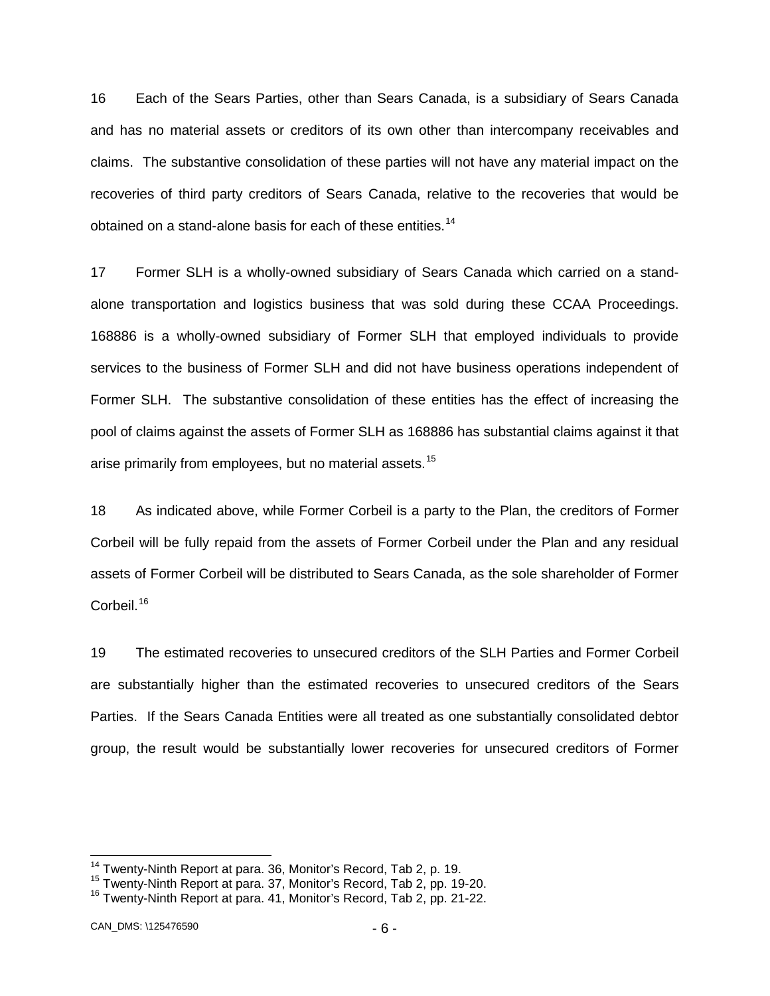16 Each of the Sears Parties, other than Sears Canada, is a subsidiary of Sears Canada and has no material assets or creditors of its own other than intercompany receivables and claims. The substantive consolidation of these parties will not have any material impact on the recoveries of third party creditors of Sears Canada, relative to the recoveries that would be obtained on a stand-alone basis for each of these entities.<sup>[14](#page-6-0)</sup>

17 Former SLH is a wholly-owned subsidiary of Sears Canada which carried on a standalone transportation and logistics business that was sold during these CCAA Proceedings. 168886 is a wholly-owned subsidiary of Former SLH that employed individuals to provide services to the business of Former SLH and did not have business operations independent of Former SLH. The substantive consolidation of these entities has the effect of increasing the pool of claims against the assets of Former SLH as 168886 has substantial claims against it that arise primarily from employees, but no material assets.<sup>[15](#page-6-1)</sup>

18 As indicated above, while Former Corbeil is a party to the Plan, the creditors of Former Corbeil will be fully repaid from the assets of Former Corbeil under the Plan and any residual assets of Former Corbeil will be distributed to Sears Canada, as the sole shareholder of Former Corbeil.<sup>[16](#page-6-2)</sup>

19 The estimated recoveries to unsecured creditors of the SLH Parties and Former Corbeil are substantially higher than the estimated recoveries to unsecured creditors of the Sears Parties. If the Sears Canada Entities were all treated as one substantially consolidated debtor group, the result would be substantially lower recoveries for unsecured creditors of Former

<span id="page-6-0"></span><sup>&</sup>lt;sup>14</sup> Twenty-Ninth Report at para. 36, Monitor's Record, Tab 2, p. 19.<br><sup>15</sup> Twenty-Ninth Report at para. 37, Monitor's Record, Tab 2, pp. 19-20.

<span id="page-6-2"></span><span id="page-6-1"></span><sup>16</sup> Twenty-Ninth Report at para. 41, Monitor's Record, Tab 2, pp. 21-22.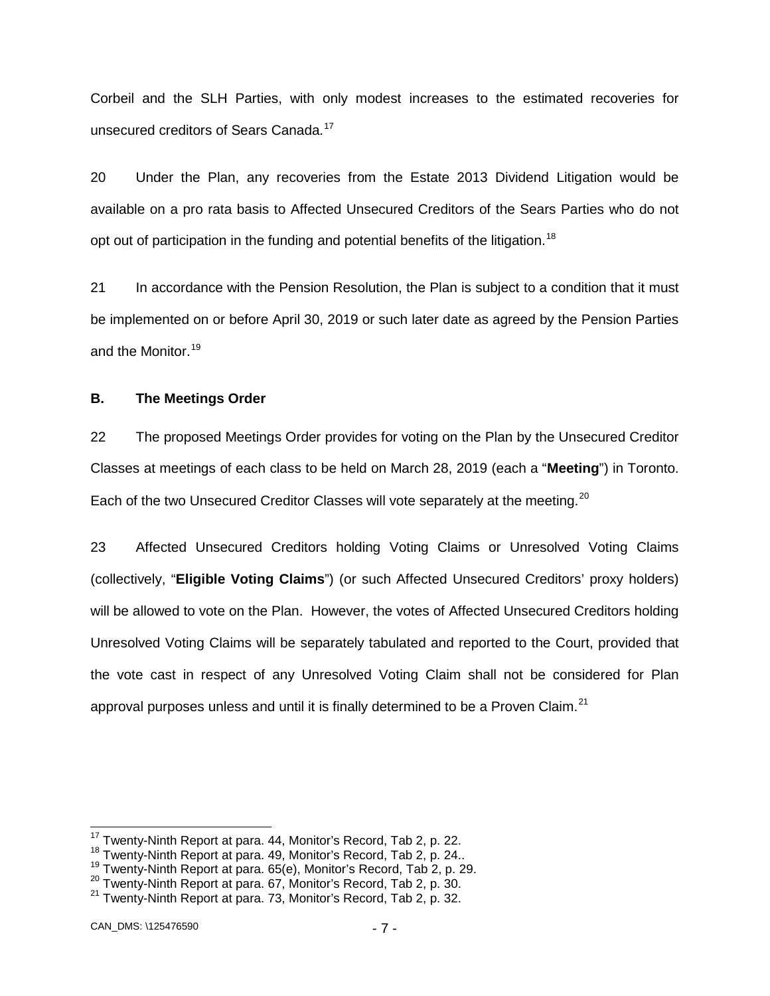Corbeil and the SLH Parties, with only modest increases to the estimated recoveries for unsecured creditors of Sears Canada.<sup>[17](#page-7-1)</sup>

20 Under the Plan, any recoveries from the Estate 2013 Dividend Litigation would be available on a pro rata basis to Affected Unsecured Creditors of the Sears Parties who do not opt out of participation in the funding and potential benefits of the litigation.<sup>[18](#page-7-2)</sup>

21 In accordance with the Pension Resolution, the Plan is subject to a condition that it must be implemented on or before April 30, 2019 or such later date as agreed by the Pension Parties and the Monitor.<sup>[19](#page-7-3)</sup>

### <span id="page-7-0"></span>**B. The Meetings Order**

22 The proposed Meetings Order provides for voting on the Plan by the Unsecured Creditor Classes at meetings of each class to be held on March 28, 2019 (each a "**Meeting**") in Toronto. Each of the two Unsecured Creditor Classes will vote separately at the meeting.<sup>[20](#page-7-4)</sup>

23 Affected Unsecured Creditors holding Voting Claims or Unresolved Voting Claims (collectively, "**Eligible Voting Claims**") (or such Affected Unsecured Creditors' proxy holders) will be allowed to vote on the Plan. However, the votes of Affected Unsecured Creditors holding Unresolved Voting Claims will be separately tabulated and reported to the Court, provided that the vote cast in respect of any Unresolved Voting Claim shall not be considered for Plan approval purposes unless and until it is finally determined to be a Proven Claim. $^{21}$ 

<span id="page-7-3"></span>

<span id="page-7-5"></span><span id="page-7-4"></span>

<span id="page-7-2"></span><span id="page-7-1"></span><sup>&</sup>lt;sup>17</sup> Twenty-Ninth Report at para. 44, Monitor's Record, Tab 2, p. 22.<br><sup>18</sup> Twenty-Ninth Report at para. 49, Monitor's Record, Tab 2, p. 24..<br><sup>19</sup> Twenty-Ninth Report at para. 65(e), Monitor's Record, Tab 2, p. 29.<br><sup>20</sup> Tw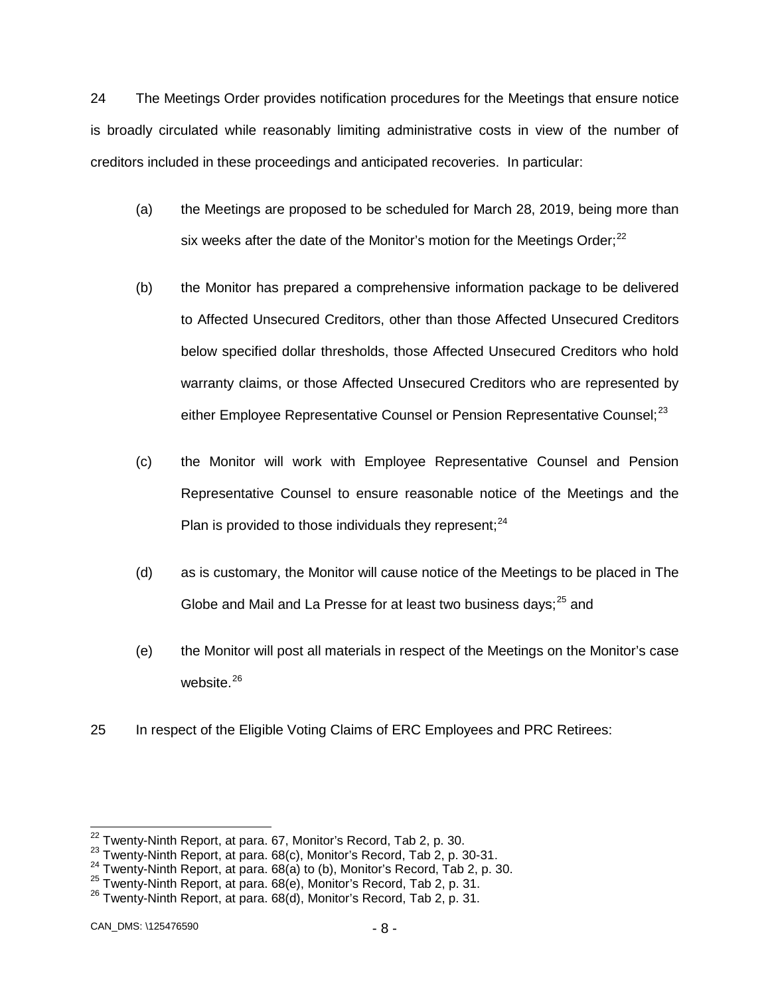24 The Meetings Order provides notification procedures for the Meetings that ensure notice is broadly circulated while reasonably limiting administrative costs in view of the number of creditors included in these proceedings and anticipated recoveries. In particular:

- (a) the Meetings are proposed to be scheduled for March 28, 2019, being more than six weeks after the date of the Monitor's motion for the Meetings Order; $^{22}$  $^{22}$  $^{22}$
- (b) the Monitor has prepared a comprehensive information package to be delivered to Affected Unsecured Creditors, other than those Affected Unsecured Creditors below specified dollar thresholds, those Affected Unsecured Creditors who hold warranty claims, or those Affected Unsecured Creditors who are represented by either Employee Representative Counsel or Pension Representative Counsel; $^{23}$  $^{23}$  $^{23}$
- (c) the Monitor will work with Employee Representative Counsel and Pension Representative Counsel to ensure reasonable notice of the Meetings and the Plan is provided to those individuals they represent;  $24$
- (d) as is customary, the Monitor will cause notice of the Meetings to be placed in The Globe and Mail and La Presse for at least two business days:<sup>[25](#page-8-3)</sup> and
- (e) the Monitor will post all materials in respect of the Meetings on the Monitor's case website.<sup>[26](#page-8-4)</sup>
- 25 In respect of the Eligible Voting Claims of ERC Employees and PRC Retirees:

<span id="page-8-1"></span><span id="page-8-0"></span><sup>&</sup>lt;sup>22</sup> Twenty-Ninth Report, at para. 67, Monitor's Record, Tab 2, p. 30.<br><sup>23</sup> Twenty-Ninth Report, at para. 68(c), Monitor's Record, Tab 2, p. 30-31.<br><sup>24</sup> Twenty-Ninth Report, at para. 68(a) to (b), Monitor's Record, Tab 2,

<span id="page-8-4"></span><span id="page-8-3"></span><span id="page-8-2"></span><sup>25</sup> Twenty-Ninth Report, at para. 68(e), Monitor's Record, Tab 2, p. 31. <sup>26</sup> Twenty-Ninth Report, at para. 68(d), Monitor's Record, Tab 2, p. 31.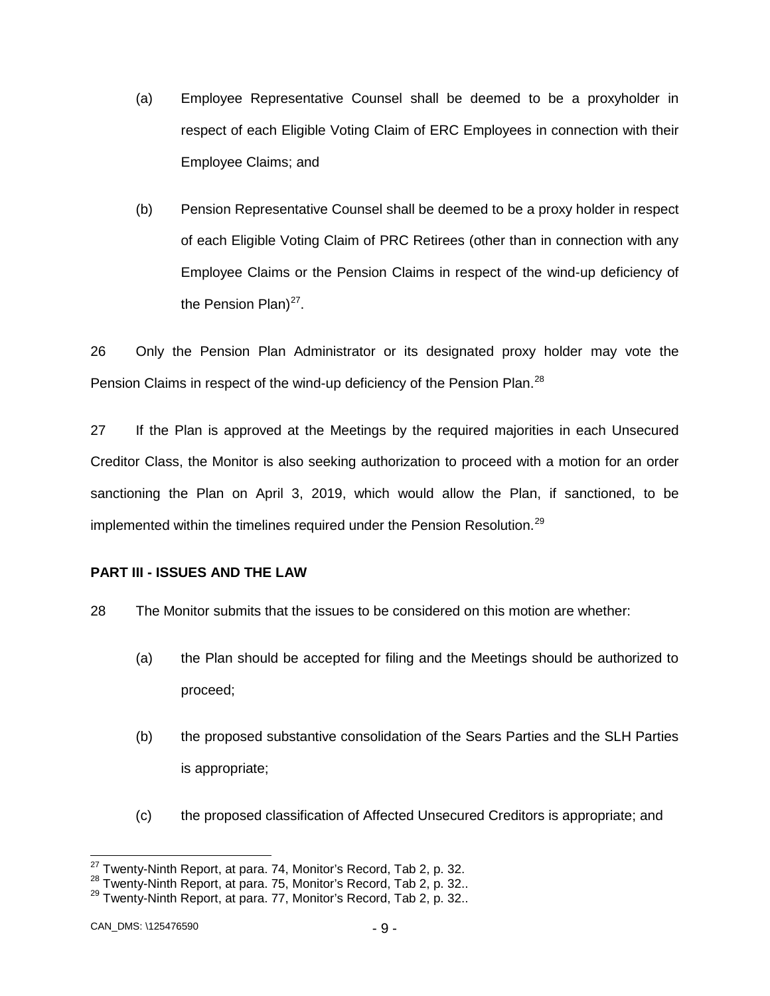- (a) Employee Representative Counsel shall be deemed to be a proxyholder in respect of each Eligible Voting Claim of ERC Employees in connection with their Employee Claims; and
- (b) Pension Representative Counsel shall be deemed to be a proxy holder in respect of each Eligible Voting Claim of PRC Retirees (other than in connection with any Employee Claims or the Pension Claims in respect of the wind-up deficiency of the Pension Plan) $27$ .

26 Only the Pension Plan Administrator or its designated proxy holder may vote the Pension Claims in respect of the wind-up deficiency of the Pension Plan.<sup>[28](#page-9-2)</sup>

27 If the Plan is approved at the Meetings by the required majorities in each Unsecured Creditor Class, the Monitor is also seeking authorization to proceed with a motion for an order sanctioning the Plan on April 3, 2019, which would allow the Plan, if sanctioned, to be implemented within the timelines required under the Pension Resolution.<sup>[29](#page-9-3)</sup>

### <span id="page-9-0"></span>**PART III - ISSUES AND THE LAW**

28 The Monitor submits that the issues to be considered on this motion are whether:

- (a) the Plan should be accepted for filing and the Meetings should be authorized to proceed;
- (b) the proposed substantive consolidation of the Sears Parties and the SLH Parties is appropriate;
- (c) the proposed classification of Affected Unsecured Creditors is appropriate; and

<span id="page-9-3"></span><span id="page-9-2"></span><span id="page-9-1"></span><sup>&</sup>lt;sup>27</sup> Twenty-Ninth Report, at para. 74, Monitor's Record, Tab 2, p. 32.<br><sup>28</sup> Twenty-Ninth Report, at para. 75, Monitor's Record, Tab 2, p. 32.. <sup>29</sup> Twenty-Ninth Report, at para. 77, Monitor's Record, Tab 2, p. 32..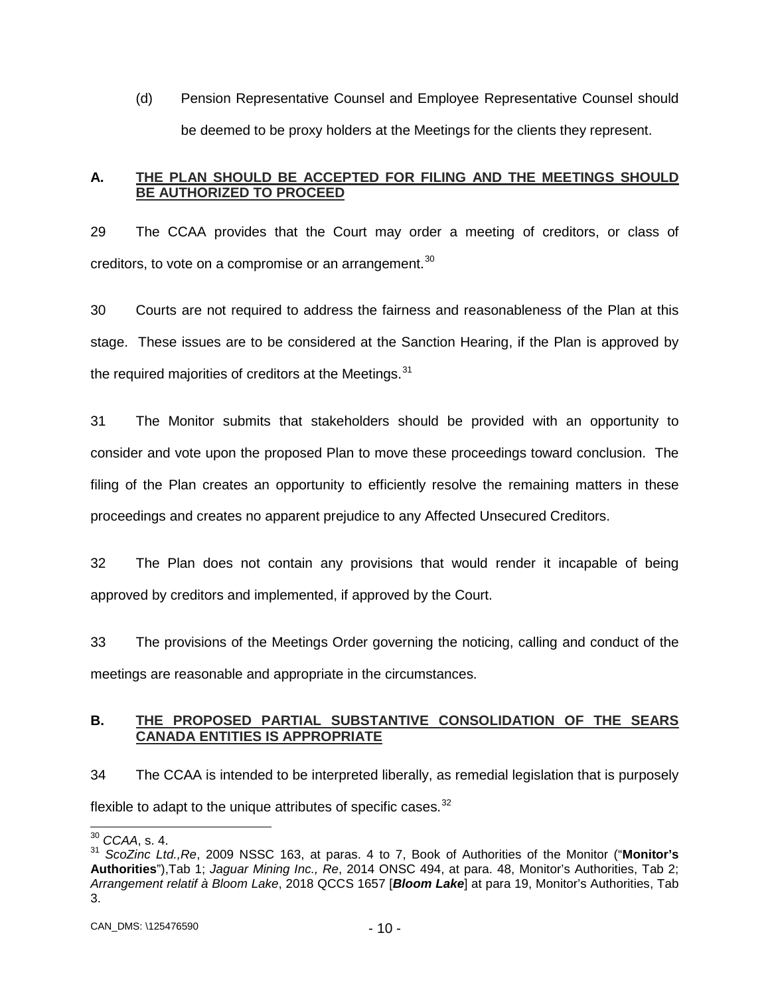(d) Pension Representative Counsel and Employee Representative Counsel should be deemed to be proxy holders at the Meetings for the clients they represent.

# <span id="page-10-0"></span>**A. THE PLAN SHOULD BE ACCEPTED FOR FILING AND THE MEETINGS SHOULD BE AUTHORIZED TO PROCEED**

29 The CCAA provides that the Court may order a meeting of creditors, or class of creditors, to vote on a compromise or an arrangement.<sup>[30](#page-10-2)</sup>

30 Courts are not required to address the fairness and reasonableness of the Plan at this stage. These issues are to be considered at the Sanction Hearing, if the Plan is approved by the required majorities of creditors at the Meetings.<sup>[31](#page-10-3)</sup>

31 The Monitor submits that stakeholders should be provided with an opportunity to consider and vote upon the proposed Plan to move these proceedings toward conclusion. The filing of the Plan creates an opportunity to efficiently resolve the remaining matters in these proceedings and creates no apparent prejudice to any Affected Unsecured Creditors.

32 The Plan does not contain any provisions that would render it incapable of being approved by creditors and implemented, if approved by the Court.

33 The provisions of the Meetings Order governing the noticing, calling and conduct of the meetings are reasonable and appropriate in the circumstances.

# <span id="page-10-1"></span>**B. THE PROPOSED PARTIAL SUBSTANTIVE CONSOLIDATION OF THE SEARS CANADA ENTITIES IS APPROPRIATE**

34 The CCAA is intended to be interpreted liberally, as remedial legislation that is purposely flexible to adapt to the unique attributes of specific cases. $32$ 

<span id="page-10-2"></span> <sup>30</sup> *CCAA*, s. 4.

<span id="page-10-3"></span><sup>31</sup> *ScoZinc Ltd.,Re*, 2009 NSSC 163, at paras. 4 to 7, Book of Authorities of the Monitor ("**Monitor's Authorities**"),Tab 1; *Jaguar Mining Inc., Re*, 2014 ONSC 494, at para. 48, Monitor's Authorities, Tab 2; *Arrangement relatif à Bloom Lake*, 2018 QCCS 1657 [*Bloom Lake*] at para 19, Monitor's Authorities, Tab 3.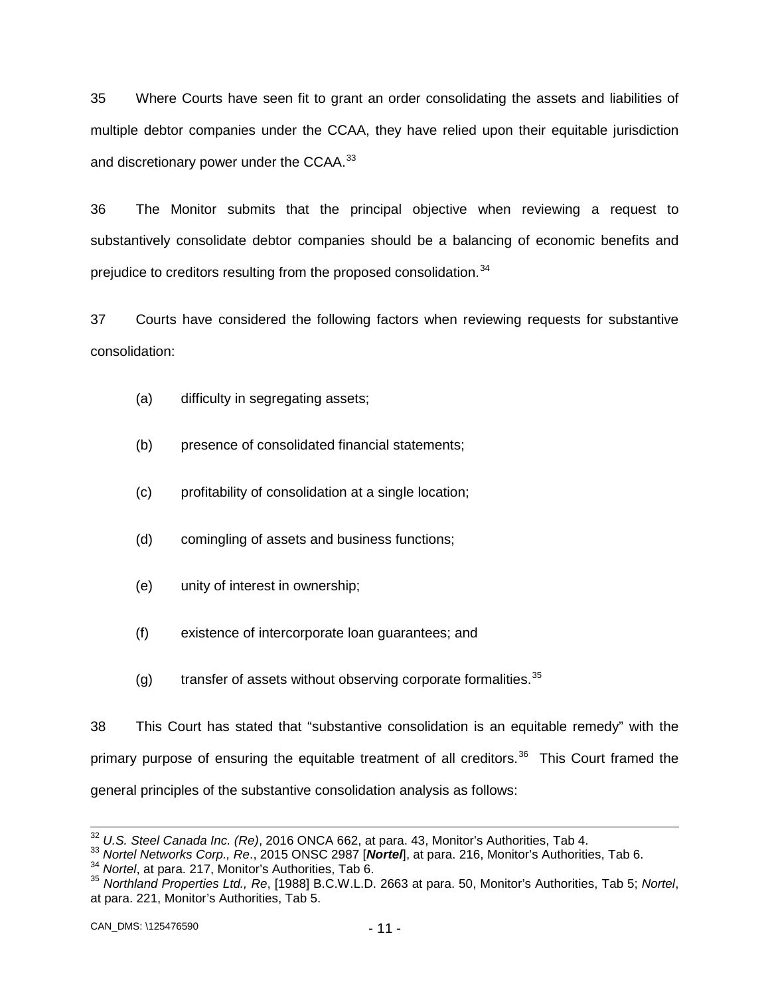35 Where Courts have seen fit to grant an order consolidating the assets and liabilities of multiple debtor companies under the CCAA, they have relied upon their equitable jurisdiction and discretionary power under the CCAA.<sup>[33](#page-11-0)</sup>

36 The Monitor submits that the principal objective when reviewing a request to substantively consolidate debtor companies should be a balancing of economic benefits and prejudice to creditors resulting from the proposed consolidation.<sup>[34](#page-11-1)</sup>

37 Courts have considered the following factors when reviewing requests for substantive consolidation:

- (a) difficulty in segregating assets;
- (b) presence of consolidated financial statements;
- (c) profitability of consolidation at a single location;
- (d) comingling of assets and business functions;
- (e) unity of interest in ownership;
- (f) existence of intercorporate loan guarantees; and
- (g) transfer of assets without observing corporate formalities.  $35$

38 This Court has stated that "substantive consolidation is an equitable remedy" with the primary purpose of ensuring the equitable treatment of all creditors.<sup>[36](#page-11-1)</sup> This Court framed the general principles of the substantive consolidation analysis as follows:

<span id="page-11-0"></span><sup>&</sup>lt;sup>32</sup> U.S. Steel Canada Inc. (Re), 2016 ONCA 662, at para. 43, Monitor's Authorities, Tab 4.<br><sup>33</sup> Nortel Networks Corp., Re., 2015 ONSC 2987 [**Nortel]**, at para. 216, Monitor's Authorities, Tab 6.<br><sup>34</sup> Nortel, at para. 217

<span id="page-11-2"></span><span id="page-11-1"></span>at para. 221, Monitor's Authorities, Tab 5.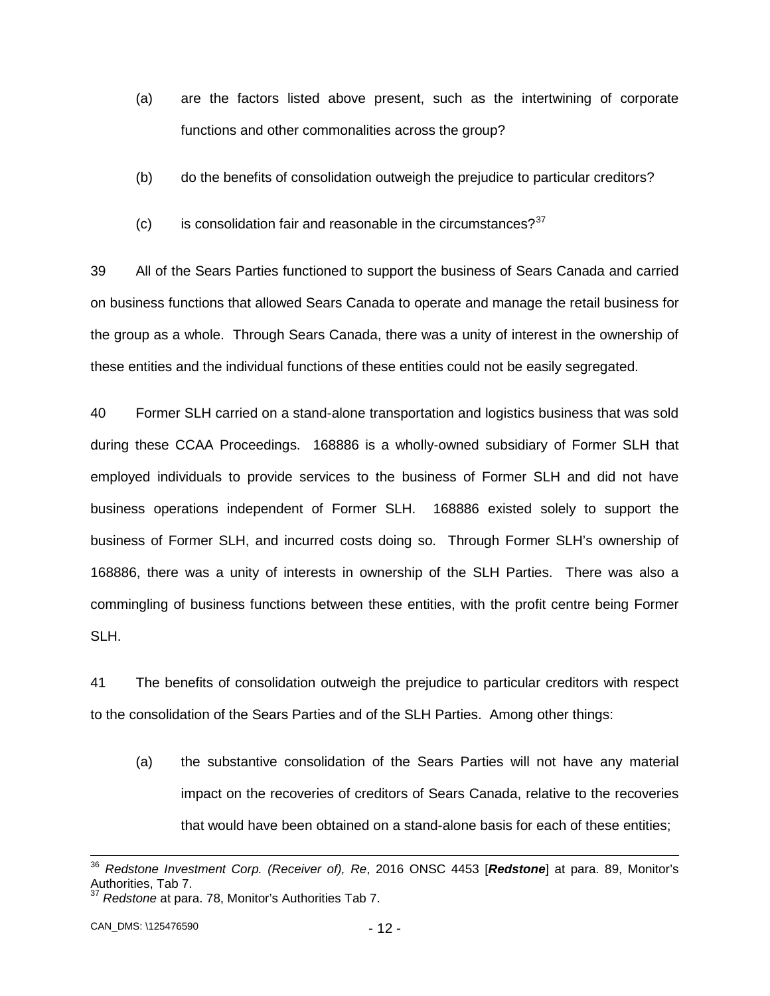- (a) are the factors listed above present, such as the intertwining of corporate functions and other commonalities across the group?
- (b) do the benefits of consolidation outweigh the prejudice to particular creditors?
- (c) is consolidation fair and reasonable in the circumstances? $37$

39 All of the Sears Parties functioned to support the business of Sears Canada and carried on business functions that allowed Sears Canada to operate and manage the retail business for the group as a whole. Through Sears Canada, there was a unity of interest in the ownership of these entities and the individual functions of these entities could not be easily segregated.

40 Former SLH carried on a stand-alone transportation and logistics business that was sold during these CCAA Proceedings. 168886 is a wholly-owned subsidiary of Former SLH that employed individuals to provide services to the business of Former SLH and did not have business operations independent of Former SLH. 168886 existed solely to support the business of Former SLH, and incurred costs doing so. Through Former SLH's ownership of 168886, there was a unity of interests in ownership of the SLH Parties. There was also a commingling of business functions between these entities, with the profit centre being Former SLH.

41 The benefits of consolidation outweigh the prejudice to particular creditors with respect to the consolidation of the Sears Parties and of the SLH Parties. Among other things:

(a) the substantive consolidation of the Sears Parties will not have any material impact on the recoveries of creditors of Sears Canada, relative to the recoveries that would have been obtained on a stand-alone basis for each of these entities;

 <sup>36</sup> *Redstone Investment Corp. (Receiver of), Re*, 2016 ONSC 4453 [*Redstone*] at para. 89, Monitor's Authorities, Tab 7.

<span id="page-12-0"></span><sup>37</sup> *Redstone* at para. 78, Monitor's Authorities Tab 7.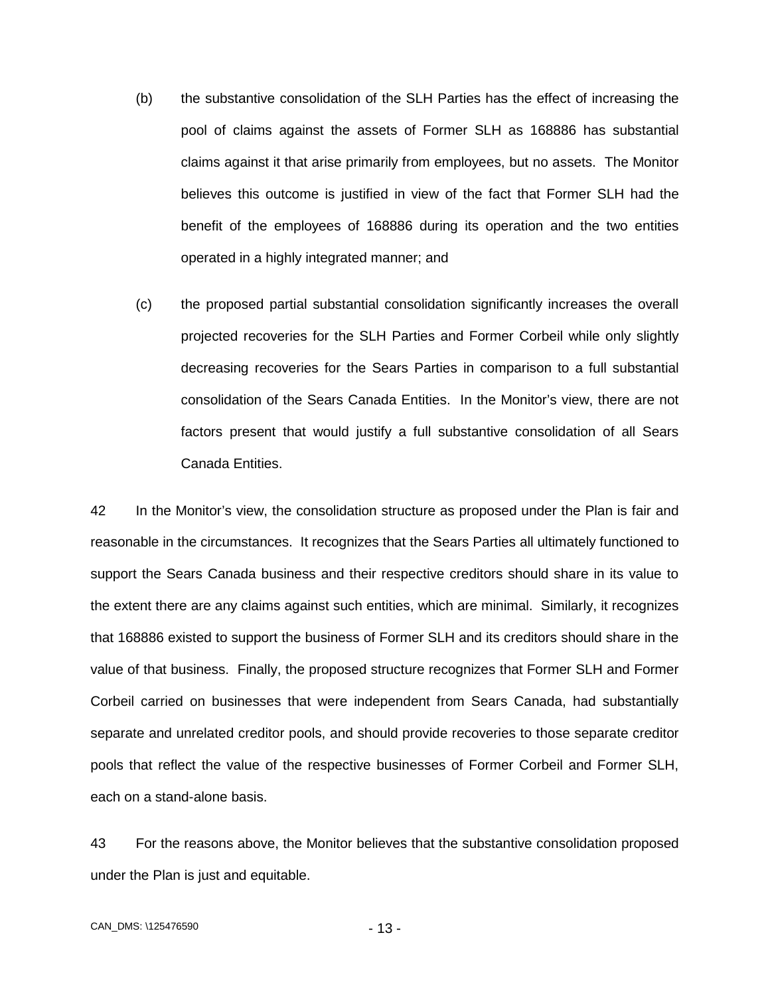- (b) the substantive consolidation of the SLH Parties has the effect of increasing the pool of claims against the assets of Former SLH as 168886 has substantial claims against it that arise primarily from employees, but no assets. The Monitor believes this outcome is justified in view of the fact that Former SLH had the benefit of the employees of 168886 during its operation and the two entities operated in a highly integrated manner; and
- (c) the proposed partial substantial consolidation significantly increases the overall projected recoveries for the SLH Parties and Former Corbeil while only slightly decreasing recoveries for the Sears Parties in comparison to a full substantial consolidation of the Sears Canada Entities. In the Monitor's view, there are not factors present that would justify a full substantive consolidation of all Sears Canada Entities.

42 In the Monitor's view, the consolidation structure as proposed under the Plan is fair and reasonable in the circumstances. It recognizes that the Sears Parties all ultimately functioned to support the Sears Canada business and their respective creditors should share in its value to the extent there are any claims against such entities, which are minimal. Similarly, it recognizes that 168886 existed to support the business of Former SLH and its creditors should share in the value of that business. Finally, the proposed structure recognizes that Former SLH and Former Corbeil carried on businesses that were independent from Sears Canada, had substantially separate and unrelated creditor pools, and should provide recoveries to those separate creditor pools that reflect the value of the respective businesses of Former Corbeil and Former SLH, each on a stand-alone basis.

43 For the reasons above, the Monitor believes that the substantive consolidation proposed under the Plan is just and equitable.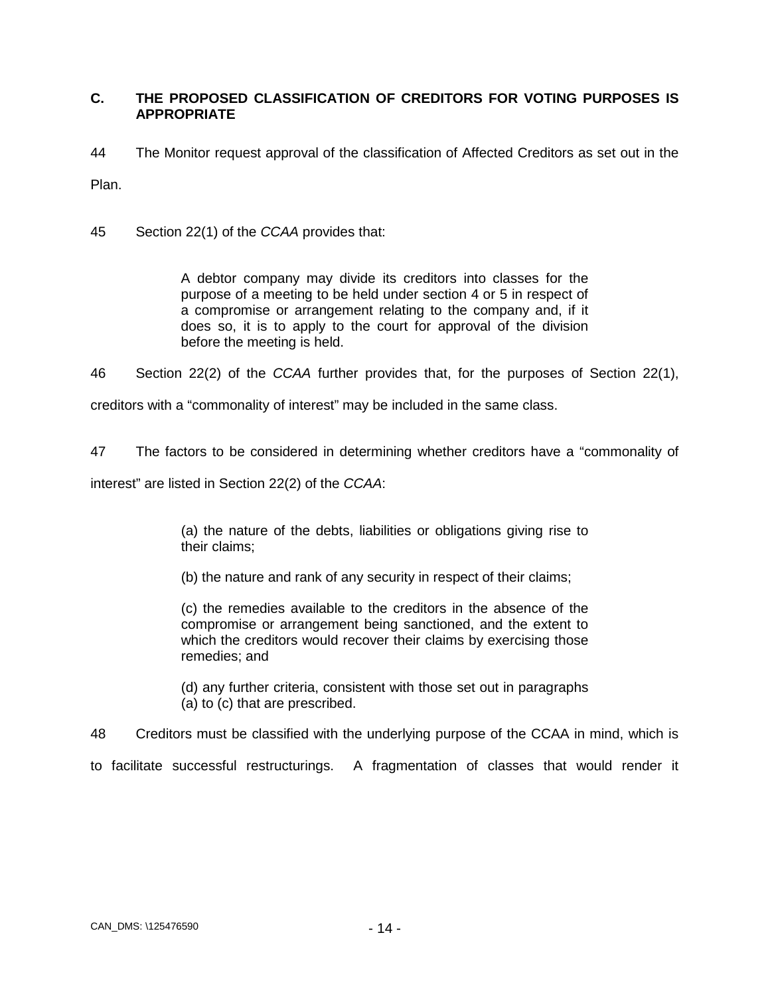# <span id="page-14-0"></span>**C. THE PROPOSED CLASSIFICATION OF CREDITORS FOR VOTING PURPOSES IS APPROPRIATE**

44 The Monitor request approval of the classification of Affected Creditors as set out in the

Plan.

45 Section 22(1) of the *CCAA* provides that:

A debtor company may divide its creditors into classes for the purpose of a meeting to be held under section 4 or 5 in respect of a compromise or arrangement relating to the company and, if it does so, it is to apply to the court for approval of the division before the meeting is held.

46 Section 22(2) of the *CCAA* further provides that, for the purposes of Section 22(1),

creditors with a "commonality of interest" may be included in the same class.

47 The factors to be considered in determining whether creditors have a "commonality of

interest" are listed in Section 22(2) of the *CCAA*:

(a) the nature of the debts, liabilities or obligations giving rise to their claims;

(b) the nature and rank of any security in respect of their claims;

(c) the remedies available to the creditors in the absence of the compromise or arrangement being sanctioned, and the extent to which the creditors would recover their claims by exercising those remedies; and

(d) any further criteria, consistent with those set out in paragraphs (a) to (c) that are prescribed.

48 Creditors must be classified with the underlying purpose of the CCAA in mind, which is

to facilitate successful restructurings. A fragmentation of classes that would render it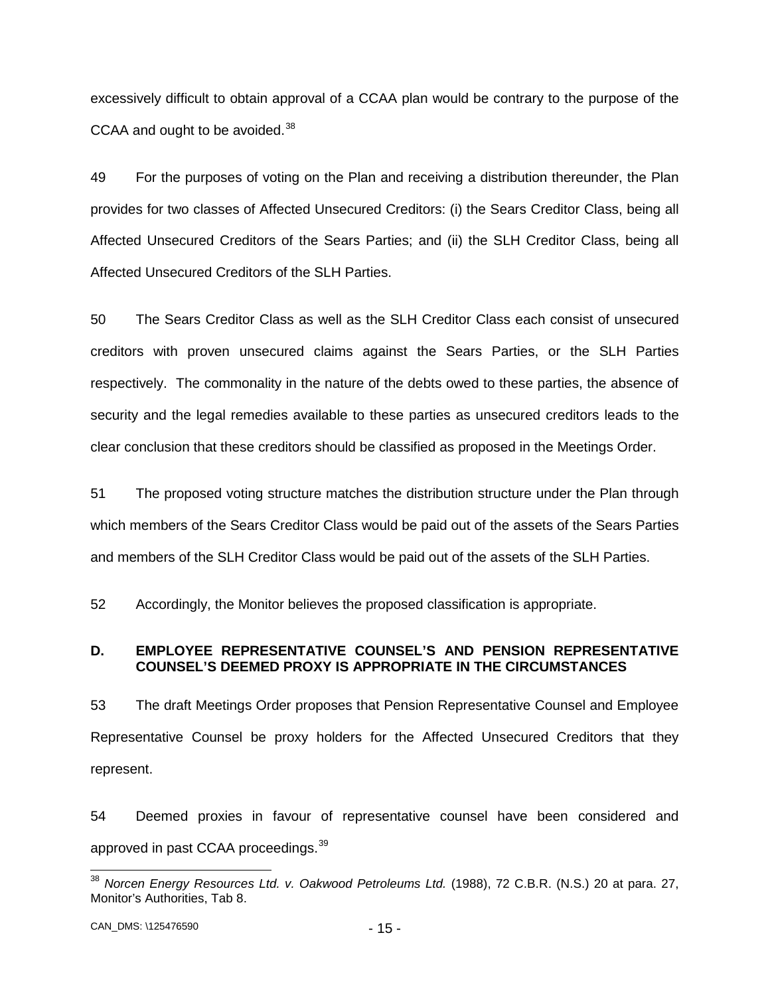excessively difficult to obtain approval of a CCAA plan would be contrary to the purpose of the CCAA and ought to be avoided.<sup>[38](#page-15-1)</sup>

49 For the purposes of voting on the Plan and receiving a distribution thereunder, the Plan provides for two classes of Affected Unsecured Creditors: (i) the Sears Creditor Class, being all Affected Unsecured Creditors of the Sears Parties; and (ii) the SLH Creditor Class, being all Affected Unsecured Creditors of the SLH Parties.

50 The Sears Creditor Class as well as the SLH Creditor Class each consist of unsecured creditors with proven unsecured claims against the Sears Parties, or the SLH Parties respectively. The commonality in the nature of the debts owed to these parties, the absence of security and the legal remedies available to these parties as unsecured creditors leads to the clear conclusion that these creditors should be classified as proposed in the Meetings Order.

51 The proposed voting structure matches the distribution structure under the Plan through which members of the Sears Creditor Class would be paid out of the assets of the Sears Parties and members of the SLH Creditor Class would be paid out of the assets of the SLH Parties.

52 Accordingly, the Monitor believes the proposed classification is appropriate.

# <span id="page-15-0"></span>**D. EMPLOYEE REPRESENTATIVE COUNSEL'S AND PENSION REPRESENTATIVE COUNSEL'S DEEMED PROXY IS APPROPRIATE IN THE CIRCUMSTANCES**

53 The draft Meetings Order proposes that Pension Representative Counsel and Employee Representative Counsel be proxy holders for the Affected Unsecured Creditors that they represent.

54 Deemed proxies in favour of representative counsel have been considered and approved in past CCAA proceedings.<sup>[39](#page-15-2)</sup>

<span id="page-15-2"></span><span id="page-15-1"></span> <sup>38</sup> *Norcen Energy Resources Ltd. v. Oakwood Petroleums Ltd.* (1988), 72 C.B.R. (N.S.) 20 at para. 27, Monitor's Authorities, Tab 8.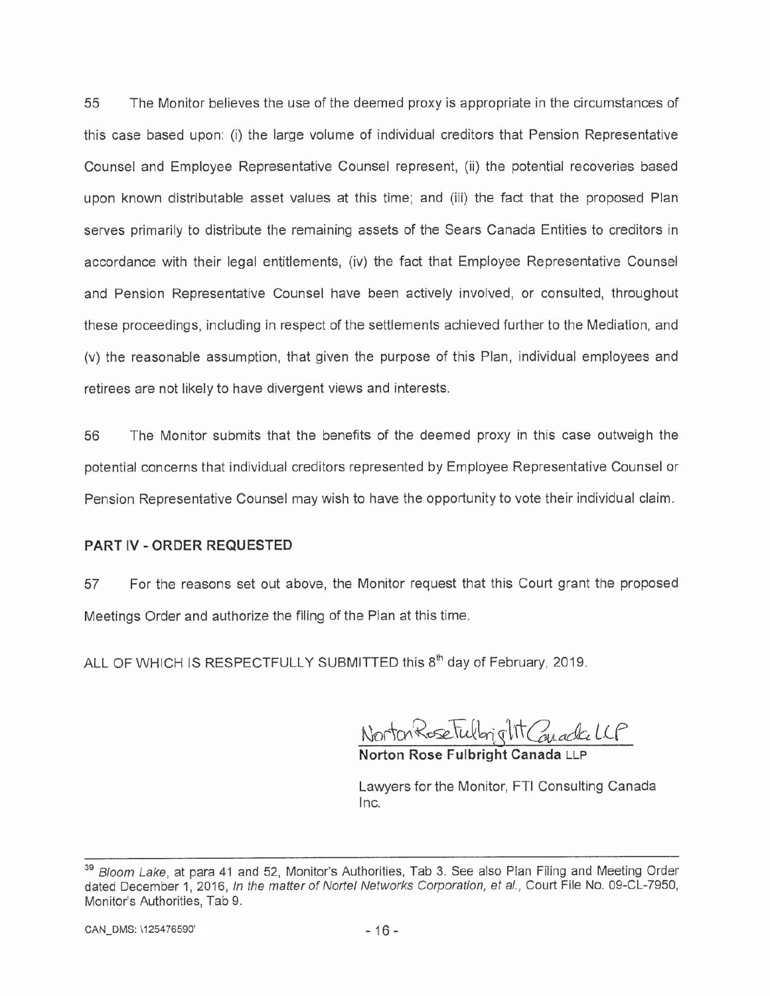55 The Monitor believes the use of the deemed proxy is appropriate in the circumstances of this case based upon: (i) the large volume of individual creditors that Pension Representative Counsel and Employee Representative Counsel represent, (ii) the potential recoveries based upon known distributable asset values at this time; and (iii) the fact that the proposed Plan serves primarily to distribute the remaining assets of the Sears Canada Entities to creditors in accordance with their legal entitlements, (iv) the fact that Employee Representative Counsel and Pension Representative Counsel have been actively involved, or consulted, throughout these proceedings, including in respect of the settlements achieved further to the Mediation, and (v) the reasonable assumption, that given the purpose of this Plan, individual employees and retirees are not likely to have divergent views and interests.

56 The Monitor submits that the benefits of the deemed proxy in this case outweigh the potential concerns that individual creditors represented by Employee Representative Counsel or Pension Representative Counsel may wish to have the opportunity to vote their individual claim.

### **PART IV - ORDER REQUESTED**

For the reasons set out above, the Monitor request that this Court grant the proposed 57 Meetings Order and authorize the filing of the Plan at this time.

ALL OF WHICH IS RESPECTFULLY SUBMITTED this 8<sup>th</sup> day of February, 2019.

Norton Rose Fulbright Conacte LLP Norton Rose Fulbright Can

Lawyers for the Monitor, FTI Consulting Canada Inc.

Bloom Lake, at para 41 and 52, Monitor's Authorities, Tab 3. See also Plan Filing and Meeting Order dated December 1, 2016, In the matter of Nortel Networks Corporation, et al., Court File No. 09-CL-7950, Monitor's Authorities, Tab 9.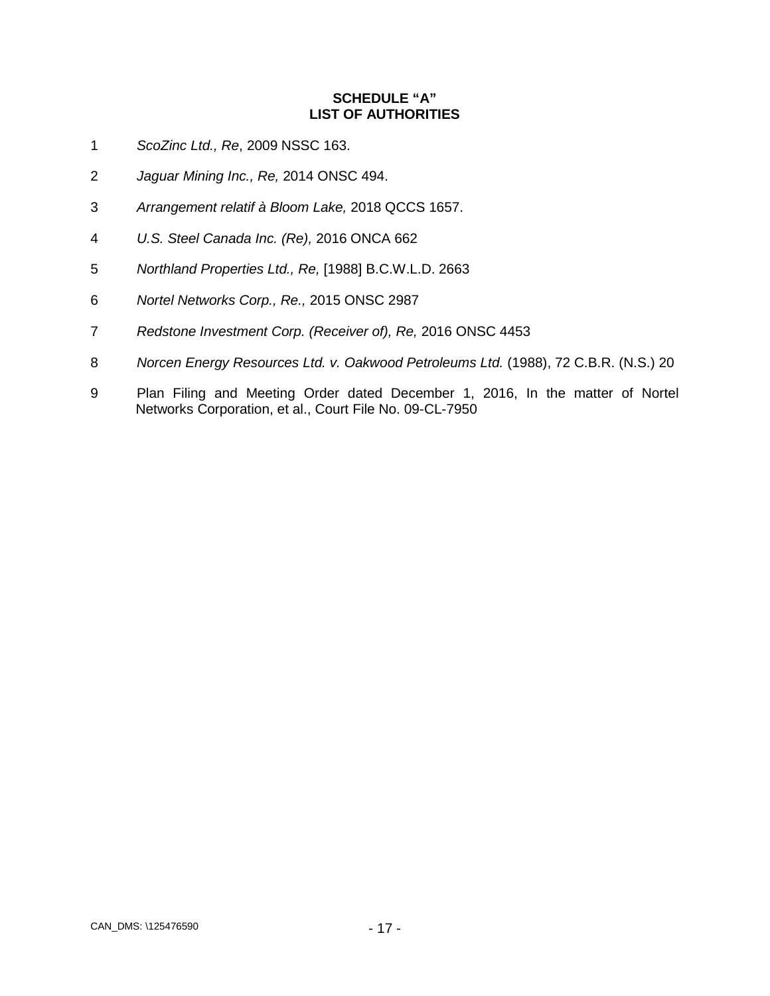# **SCHEDULE "A" LIST OF AUTHORITIES**

- <span id="page-17-0"></span>*ScoZinc Ltd., Re*, 2009 NSSC 163.
- *Jaguar Mining Inc., Re,* 2014 ONSC 494.
- *Arrangement relatif à Bloom Lake,* 2018 QCCS 1657.
- *U.S. Steel Canada Inc. (Re),* 2016 ONCA 662
- *Northland Properties Ltd., Re,* [1988] B.C.W.L.D. 2663
- *Nortel Networks Corp., Re.,* 2015 ONSC 2987
- *Redstone Investment Corp. (Receiver of), Re,* 2016 ONSC 4453
- *Norcen Energy Resources Ltd. v. Oakwood Petroleums Ltd.* (1988), 72 C.B.R. (N.S.) 20
- Plan Filing and Meeting Order dated December 1, 2016, In the matter of Nortel Networks Corporation, et al., Court File No. 09-CL-7950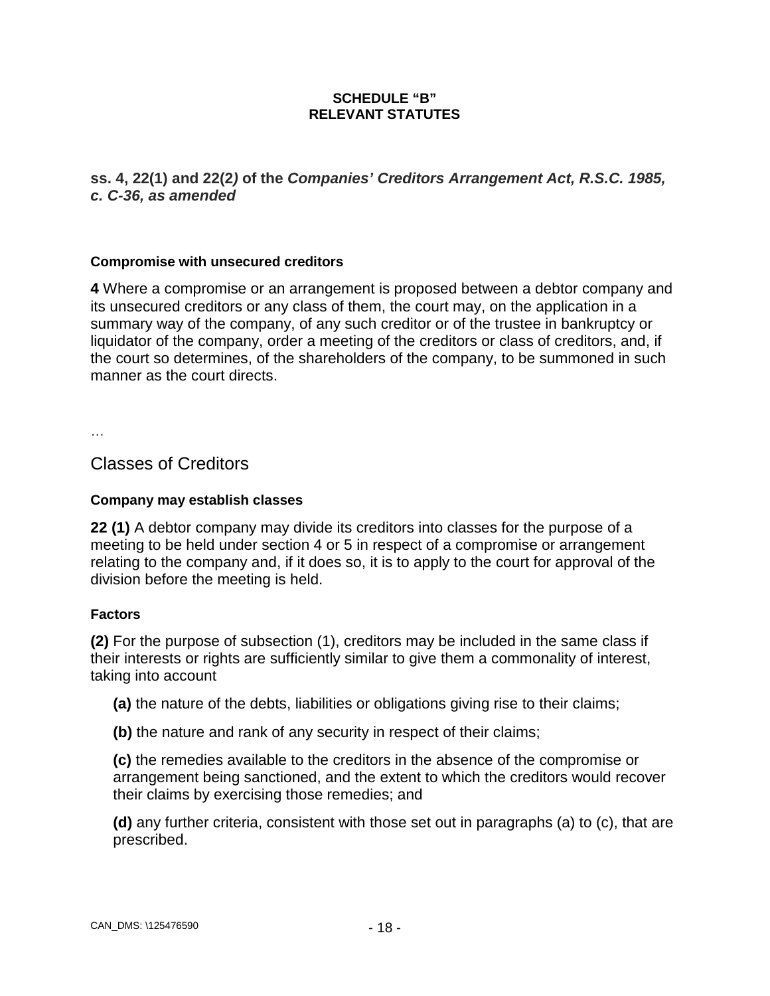# **SCHEDULE "B" RELEVANT STATUTES**

# <span id="page-18-0"></span>**ss. 4, 22(1) and 22(2***)* **of the** *Companies' Creditors Arrangement Act, R.S.C. 1985, c. C-36, as amended*

# **Compromise with unsecured creditors**

**4** Where a compromise or an arrangement is proposed between a debtor company and its unsecured creditors or any class of them, the court may, on the application in a summary way of the company, of any such creditor or of the trustee in bankruptcy or liquidator of the company, order a meeting of the creditors or class of creditors, and, if the court so determines, of the shareholders of the company, to be summoned in such manner as the court directs.

…

Classes of Creditors

# **Company may establish classes**

**22 (1)** A debtor company may divide its creditors into classes for the purpose of a meeting to be held under section 4 or 5 in respect of a compromise or arrangement relating to the company and, if it does so, it is to apply to the court for approval of the division before the meeting is held.

# **Factors**

**(2)** For the purpose of subsection (1), creditors may be included in the same class if their interests or rights are sufficiently similar to give them a commonality of interest, taking into account

**(a)** the nature of the debts, liabilities or obligations giving rise to their claims;

**(b)** the nature and rank of any security in respect of their claims;

**(c)** the remedies available to the creditors in the absence of the compromise or arrangement being sanctioned, and the extent to which the creditors would recover their claims by exercising those remedies; and

**(d)** any further criteria, consistent with those set out in paragraphs (a) to (c), that are prescribed.